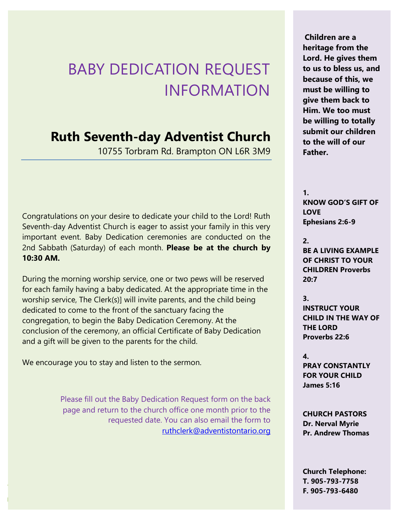## BABY DEDICATION REQUEST INFORMATION

## **Ruth Seventh-day Adventist Church**

10755 Torbram Rd. Brampton ON L6R 3M9

Congratulations on your desire to dedicate your child to the Lord! Ruth Seventh-day Adventist Church is eager to assist your family in this very important event. Baby Dedication ceremonies are conducted on the 2nd Sabbath (Saturday) of each month. **Please be at the church by 10:30 AM.**

During the morning worship service, one or two pews will be reserved for each family having a baby dedicated. At the appropriate time in the worship service, The Clerk(s)] will invite parents, and the child being dedicated to come to the front of the sanctuary facing the congregation, to begin the Baby Dedication Ceremony. At the conclusion of the ceremony, an official Certificate of Baby Dedication and a gift will be given to the parents for the child.

We encourage you to stay and listen to the sermon.

Please fill out the Baby Dedication Request form on the back page and return to the church office one month prior to the requested date. You can also email the form to [ruthclerk@adventistontario.org](mailto:ruthclerk@adventistontario.org)

**Children are a heritage from the Lord. He gives them to us to bless us, and because of this, we must be willing to give them back to Him. We too must be willing to totally submit our children to the will of our Father.**

**1. KNOW GOD'S GIFT OF LOVE Ephesians 2:6-9**

**2. BE A LIVING EXAMPLE OF CHRIST TO YOUR CHILDREN Proverbs 20:7**

**3. INSTRUCT YOUR CHILD IN THE WAY OF THE LORD Proverbs 22:6**

**4. PRAY CONSTANTLY FOR YOUR CHILD James 5:16**

**CHURCH PASTORS Dr. Nerval Myrie Pr. Andrew Thomas**

**Church Telephone: T. 905-793-7758 F. 905-793-6480**